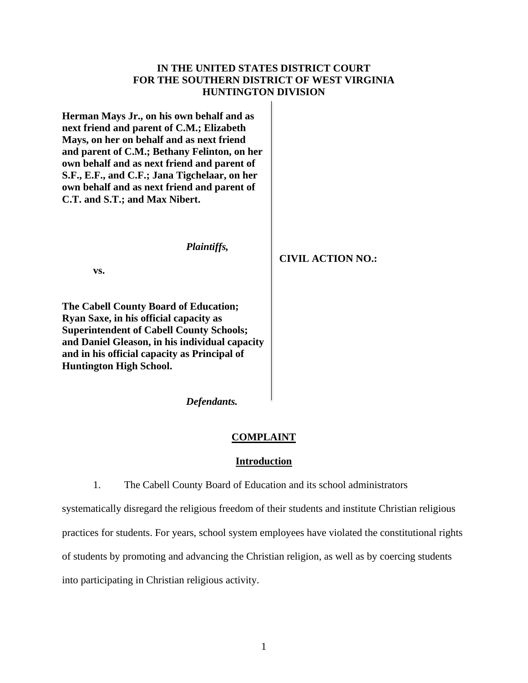## **IN THE UNITED STATES DISTRICT COURT FOR THE SOUTHERN DISTRICT OF WEST VIRGINIA HUNTINGTON DIVISION**

**Herman Mays Jr., on his own behalf and as next friend and parent of C.M.; Elizabeth Mays, on her on behalf and as next friend and parent of C.M.; Bethany Felinton, on her own behalf and as next friend and parent of S.F., E.F., and C.F.; Jana Tigchelaar, on her own behalf and as next friend and parent of C.T. and S.T.; and Max Nibert.**

*Plaintiffs,*

**CIVIL ACTION NO.:**

**vs.**

**The Cabell County Board of Education; Ryan Saxe, in his official capacity as Superintendent of Cabell County Schools; and Daniel Gleason, in his individual capacity and in his official capacity as Principal of Huntington High School.**

*Defendants.*

## **COMPLAINT**

### **Introduction**

1. The Cabell County Board of Education and its school administrators

systematically disregard the religious freedom of their students and institute Christian religious practices for students. For years, school system employees have violated the constitutional rights of students by promoting and advancing the Christian religion, as well as by coercing students into participating in Christian religious activity.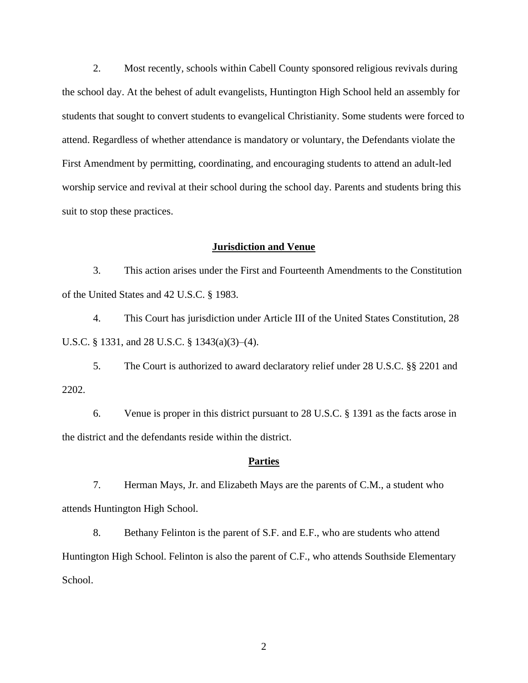2. Most recently*,* schools within Cabell County sponsored religious revivals during the school day. At the behest of adult evangelists, Huntington High School held an assembly for students that sought to convert students to evangelical Christianity. Some students were forced to attend. Regardless of whether attendance is mandatory or voluntary, the Defendants violate the First Amendment by permitting, coordinating, and encouraging students to attend an adult-led worship service and revival at their school during the school day. Parents and students bring this suit to stop these practices.

### **Jurisdiction and Venue**

3. This action arises under the First and Fourteenth Amendments to the Constitution of the United States and 42 U.S.C. § 1983.

4. This Court has jurisdiction under Article III of the United States Constitution, 28 U.S.C. § 1331, and 28 U.S.C. § 1343(a)(3)–(4).

5. The Court is authorized to award declaratory relief under 28 U.S.C. §§ 2201 and 2202.

6. Venue is proper in this district pursuant to 28 U.S.C. § 1391 as the facts arose in the district and the defendants reside within the district.

### **Parties**

7. Herman Mays, Jr. and Elizabeth Mays are the parents of C.M., a student who attends Huntington High School.

8. Bethany Felinton is the parent of S.F. and E.F., who are students who attend Huntington High School. Felinton is also the parent of C.F., who attends Southside Elementary School.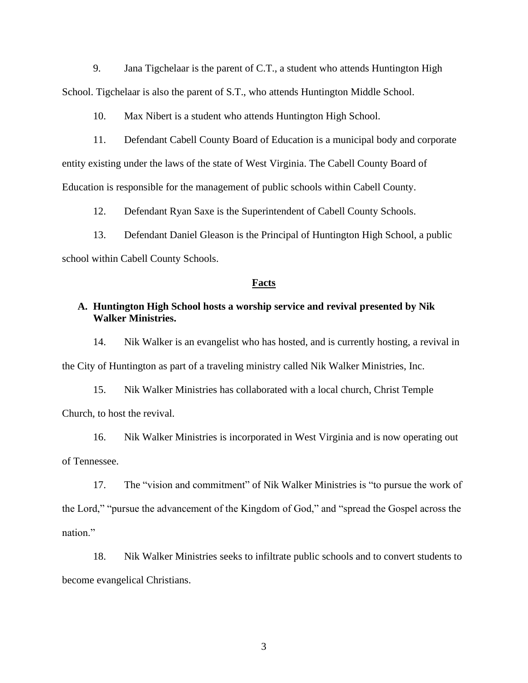9. Jana Tigchelaar is the parent of C.T., a student who attends Huntington High School. Tigchelaar is also the parent of S.T., who attends Huntington Middle School.

10. Max Nibert is a student who attends Huntington High School.

11. Defendant Cabell County Board of Education is a municipal body and corporate entity existing under the laws of the state of West Virginia. The Cabell County Board of Education is responsible for the management of public schools within Cabell County.

12. Defendant Ryan Saxe is the Superintendent of Cabell County Schools.

13. Defendant Daniel Gleason is the Principal of Huntington High School, a public school within Cabell County Schools.

#### **Facts**

## **A. Huntington High School hosts a worship service and revival presented by Nik Walker Ministries.**

14. Nik Walker is an evangelist who has hosted, and is currently hosting, a revival in the City of Huntington as part of a traveling ministry called Nik Walker Ministries, Inc.

15. Nik Walker Ministries has collaborated with a local church, Christ Temple Church, to host the revival.

16. Nik Walker Ministries is incorporated in West Virginia and is now operating out of Tennessee.

17. The "vision and commitment" of Nik Walker Ministries is "to pursue the work of the Lord," "pursue the advancement of the Kingdom of God," and "spread the Gospel across the nation."

18. Nik Walker Ministries seeks to infiltrate public schools and to convert students to become evangelical Christians.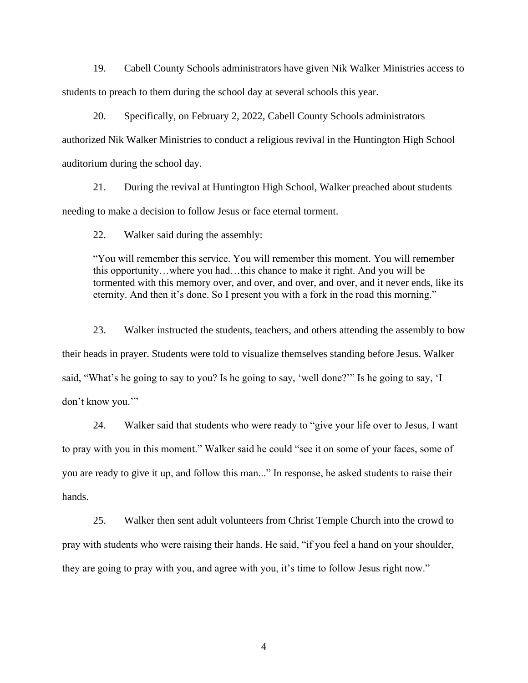19. Cabell County Schools administrators have given Nik Walker Ministries access to students to preach to them during the school day at several schools this year.

20. Specifically, on February 2, 2022, Cabell County Schools administrators authorized Nik Walker Ministries to conduct a religious revival in the Huntington High School auditorium during the school day.

21. During the revival at Huntington High School, Walker preached about students needing to make a decision to follow Jesus or face eternal torment.

22. Walker said during the assembly:

"You will remember this service. You will remember this moment. You will remember this opportunity…where you had…this chance to make it right. And you will be tormented with this memory over, and over, and over, and over, and it never ends, like its eternity. And then it's done. So I present you with a fork in the road this morning."

23. Walker instructed the students, teachers, and others attending the assembly to bow their heads in prayer. Students were told to visualize themselves standing before Jesus. Walker said, "What's he going to say to you? Is he going to say, 'well done?'" Is he going to say, 'I don't know you.'"

24. Walker said that students who were ready to "give your life over to Jesus, I want to pray with you in this moment." Walker said he could "see it on some of your faces, some of you are ready to give it up, and follow this man..." In response, he asked students to raise their hands.

25. Walker then sent adult volunteers from Christ Temple Church into the crowd to pray with students who were raising their hands. He said, "if you feel a hand on your shoulder, they are going to pray with you, and agree with you, it's time to follow Jesus right now."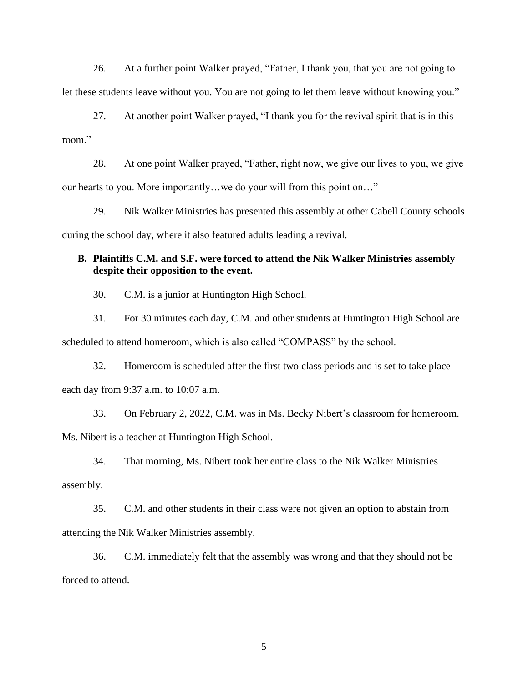26. At a further point Walker prayed, "Father, I thank you, that you are not going to let these students leave without you. You are not going to let them leave without knowing you."

27. At another point Walker prayed, "I thank you for the revival spirit that is in this room."

28. At one point Walker prayed, "Father, right now, we give our lives to you, we give our hearts to you. More importantly…we do your will from this point on…"

29. Nik Walker Ministries has presented this assembly at other Cabell County schools during the school day, where it also featured adults leading a revival.

# **B. Plaintiffs C.M. and S.F. were forced to attend the Nik Walker Ministries assembly despite their opposition to the event.**

30. C.M. is a junior at Huntington High School.

31. For 30 minutes each day, C.M. and other students at Huntington High School are scheduled to attend homeroom, which is also called "COMPASS" by the school.

32. Homeroom is scheduled after the first two class periods and is set to take place each day from 9:37 a.m. to 10:07 a.m.

33. On February 2, 2022, C.M. was in Ms. Becky Nibert's classroom for homeroom. Ms. Nibert is a teacher at Huntington High School.

34. That morning, Ms. Nibert took her entire class to the Nik Walker Ministries assembly.

35. C.M. and other students in their class were not given an option to abstain from attending the Nik Walker Ministries assembly.

36. C.M. immediately felt that the assembly was wrong and that they should not be forced to attend.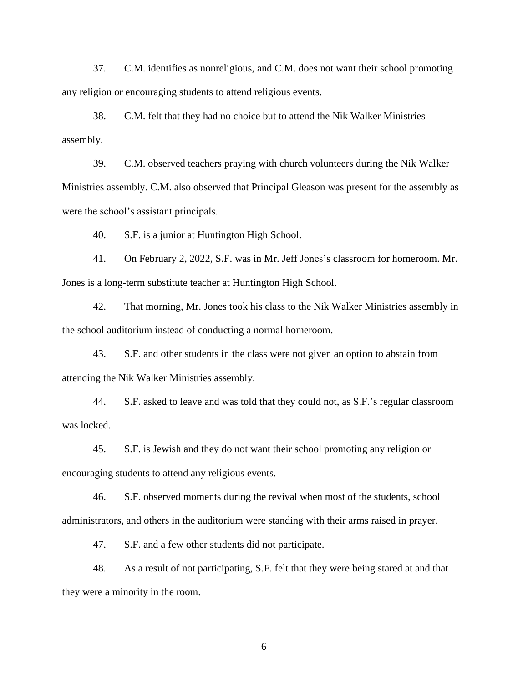37. C.M. identifies as nonreligious, and C.M. does not want their school promoting any religion or encouraging students to attend religious events.

38. C.M. felt that they had no choice but to attend the Nik Walker Ministries assembly.

39. C.M. observed teachers praying with church volunteers during the Nik Walker Ministries assembly. C.M. also observed that Principal Gleason was present for the assembly as were the school's assistant principals.

40. S.F. is a junior at Huntington High School.

41. On February 2, 2022, S.F. was in Mr. Jeff Jones's classroom for homeroom. Mr. Jones is a long-term substitute teacher at Huntington High School.

42. That morning, Mr. Jones took his class to the Nik Walker Ministries assembly in the school auditorium instead of conducting a normal homeroom.

43. S.F. and other students in the class were not given an option to abstain from attending the Nik Walker Ministries assembly.

44. S.F. asked to leave and was told that they could not, as S.F.'s regular classroom was locked.

45. S.F. is Jewish and they do not want their school promoting any religion or encouraging students to attend any religious events.

46. S.F. observed moments during the revival when most of the students, school administrators, and others in the auditorium were standing with their arms raised in prayer.

47. S.F. and a few other students did not participate.

48. As a result of not participating, S.F. felt that they were being stared at and that they were a minority in the room.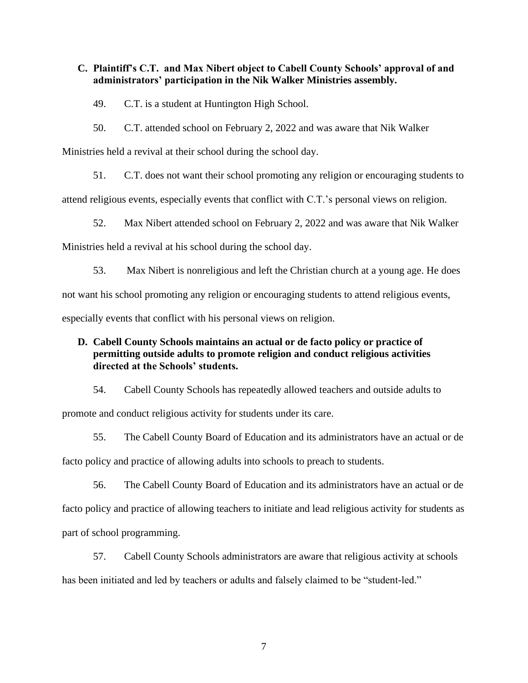## **C. Plaintiff's C.T. and Max Nibert object to Cabell County Schools' approval of and administrators' participation in the Nik Walker Ministries assembly.**

49. C.T. is a student at Huntington High School.

50. C.T. attended school on February 2, 2022 and was aware that Nik Walker

Ministries held a revival at their school during the school day.

51. C.T. does not want their school promoting any religion or encouraging students to

attend religious events, especially events that conflict with C.T.'s personal views on religion.

52. Max Nibert attended school on February 2, 2022 and was aware that Nik Walker

Ministries held a revival at his school during the school day.

53. Max Nibert is nonreligious and left the Christian church at a young age. He does

not want his school promoting any religion or encouraging students to attend religious events,

especially events that conflict with his personal views on religion.

# **D. Cabell County Schools maintains an actual or de facto policy or practice of permitting outside adults to promote religion and conduct religious activities directed at the Schools' students.**

54. Cabell County Schools has repeatedly allowed teachers and outside adults to promote and conduct religious activity for students under its care.

55. The Cabell County Board of Education and its administrators have an actual or de facto policy and practice of allowing adults into schools to preach to students.

56. The Cabell County Board of Education and its administrators have an actual or de facto policy and practice of allowing teachers to initiate and lead religious activity for students as part of school programming.

57. Cabell County Schools administrators are aware that religious activity at schools has been initiated and led by teachers or adults and falsely claimed to be "student-led."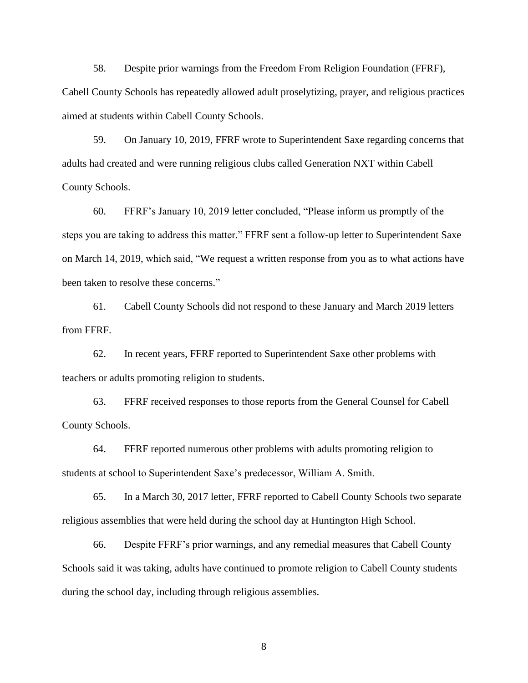58. Despite prior warnings from the Freedom From Religion Foundation (FFRF), Cabell County Schools has repeatedly allowed adult proselytizing, prayer, and religious practices aimed at students within Cabell County Schools.

59. On January 10, 2019, FFRF wrote to Superintendent Saxe regarding concerns that adults had created and were running religious clubs called Generation NXT within Cabell County Schools.

60. FFRF's January 10, 2019 letter concluded, "Please inform us promptly of the steps you are taking to address this matter." FFRF sent a follow-up letter to Superintendent Saxe on March 14, 2019, which said, "We request a written response from you as to what actions have been taken to resolve these concerns."

61. Cabell County Schools did not respond to these January and March 2019 letters from FFRF.

62. In recent years, FFRF reported to Superintendent Saxe other problems with teachers or adults promoting religion to students.

63. FFRF received responses to those reports from the General Counsel for Cabell County Schools.

64. FFRF reported numerous other problems with adults promoting religion to students at school to Superintendent Saxe's predecessor, William A. Smith.

65. In a March 30, 2017 letter, FFRF reported to Cabell County Schools two separate religious assemblies that were held during the school day at Huntington High School.

66. Despite FFRF's prior warnings, and any remedial measures that Cabell County Schools said it was taking, adults have continued to promote religion to Cabell County students during the school day, including through religious assemblies.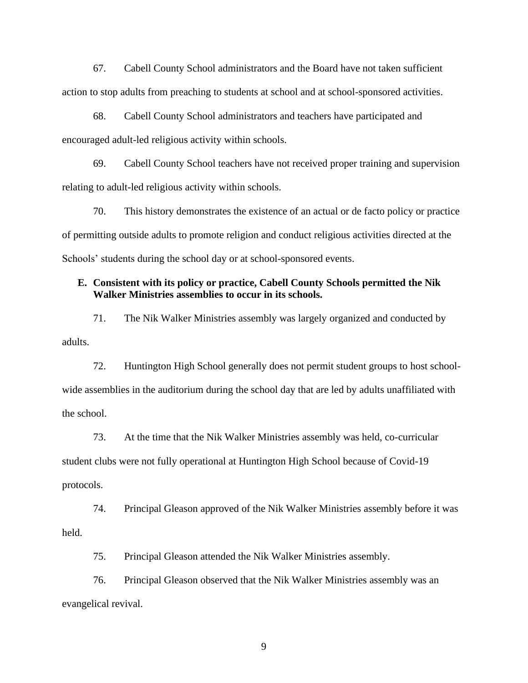67. Cabell County School administrators and the Board have not taken sufficient action to stop adults from preaching to students at school and at school-sponsored activities.

68. Cabell County School administrators and teachers have participated and encouraged adult-led religious activity within schools.

69. Cabell County School teachers have not received proper training and supervision relating to adult-led religious activity within schools.

70. This history demonstrates the existence of an actual or de facto policy or practice of permitting outside adults to promote religion and conduct religious activities directed at the Schools' students during the school day or at school-sponsored events.

## **E. Consistent with its policy or practice, Cabell County Schools permitted the Nik Walker Ministries assemblies to occur in its schools.**

71. The Nik Walker Ministries assembly was largely organized and conducted by adults.

72. Huntington High School generally does not permit student groups to host schoolwide assemblies in the auditorium during the school day that are led by adults unaffiliated with the school.

73. At the time that the Nik Walker Ministries assembly was held, co-curricular student clubs were not fully operational at Huntington High School because of Covid-19 protocols.

74. Principal Gleason approved of the Nik Walker Ministries assembly before it was held.

75. Principal Gleason attended the Nik Walker Ministries assembly.

76. Principal Gleason observed that the Nik Walker Ministries assembly was an evangelical revival.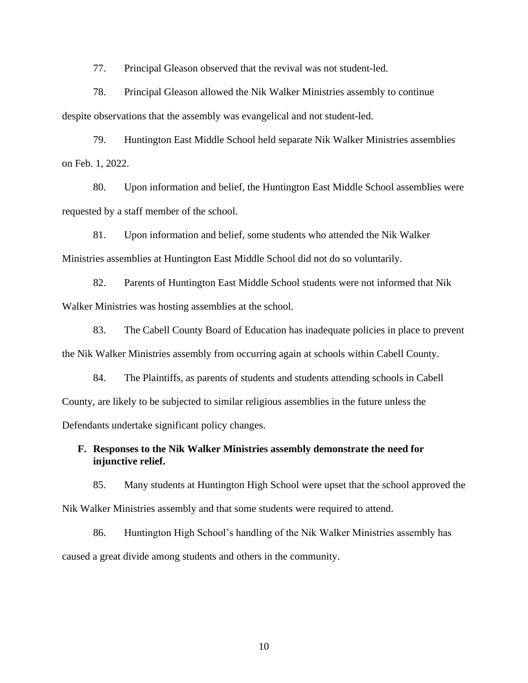77. Principal Gleason observed that the revival was not student-led.

78. Principal Gleason allowed the Nik Walker Ministries assembly to continue despite observations that the assembly was evangelical and not student-led.

79. Huntington East Middle School held separate Nik Walker Ministries assemblies on Feb. 1, 2022.

80. Upon information and belief, the Huntington East Middle School assemblies were requested by a staff member of the school.

81. Upon information and belief, some students who attended the Nik Walker Ministries assemblies at Huntington East Middle School did not do so voluntarily.

82. Parents of Huntington East Middle School students were not informed that Nik Walker Ministries was hosting assemblies at the school.

83. The Cabell County Board of Education has inadequate policies in place to prevent the Nik Walker Ministries assembly from occurring again at schools within Cabell County.

84. The Plaintiffs, as parents of students and students attending schools in Cabell County, are likely to be subjected to similar religious assemblies in the future unless the Defendants undertake significant policy changes.

**F. Responses to the Nik Walker Ministries assembly demonstrate the need for injunctive relief.**

85. Many students at Huntington High School were upset that the school approved the Nik Walker Ministries assembly and that some students were required to attend.

86. Huntington High School's handling of the Nik Walker Ministries assembly has caused a great divide among students and others in the community.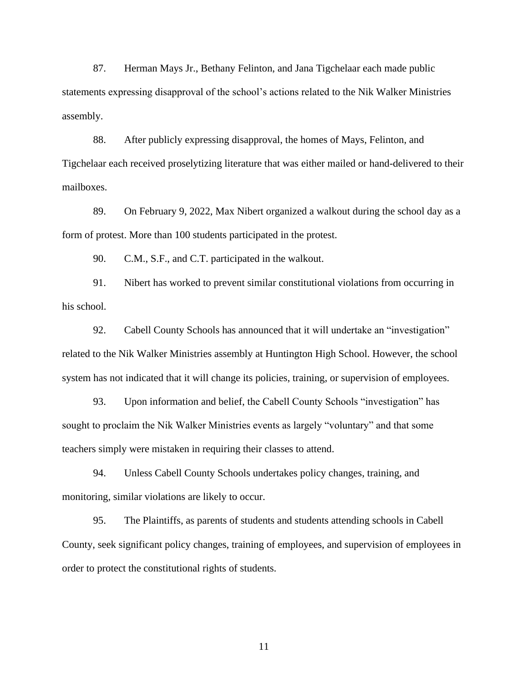87. Herman Mays Jr., Bethany Felinton, and Jana Tigchelaar each made public statements expressing disapproval of the school's actions related to the Nik Walker Ministries assembly.

88. After publicly expressing disapproval, the homes of Mays, Felinton, and Tigchelaar each received proselytizing literature that was either mailed or hand-delivered to their mailboxes.

89. On February 9, 2022, Max Nibert organized a walkout during the school day as a form of protest. More than 100 students participated in the protest.

90. C.M., S.F., and C.T. participated in the walkout.

91. Nibert has worked to prevent similar constitutional violations from occurring in his school.

92. Cabell County Schools has announced that it will undertake an "investigation" related to the Nik Walker Ministries assembly at Huntington High School. However, the school system has not indicated that it will change its policies, training, or supervision of employees.

93. Upon information and belief, the Cabell County Schools "investigation" has sought to proclaim the Nik Walker Ministries events as largely "voluntary" and that some teachers simply were mistaken in requiring their classes to attend.

94. Unless Cabell County Schools undertakes policy changes, training, and monitoring, similar violations are likely to occur.

95. The Plaintiffs, as parents of students and students attending schools in Cabell County, seek significant policy changes, training of employees, and supervision of employees in order to protect the constitutional rights of students.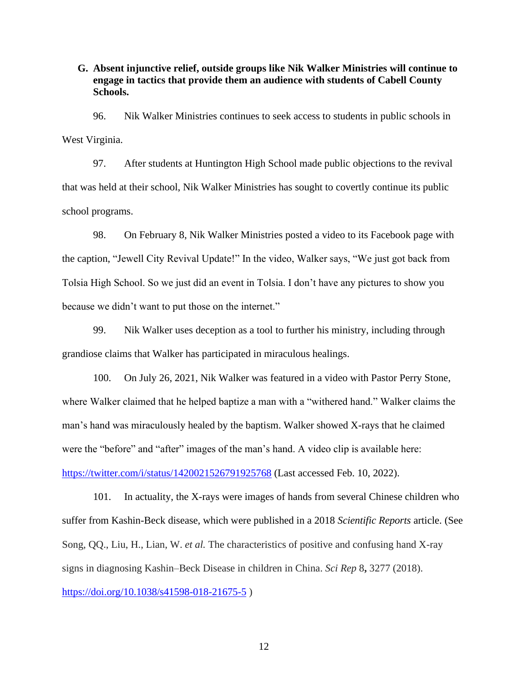**G. Absent injunctive relief, outside groups like Nik Walker Ministries will continue to engage in tactics that provide them an audience with students of Cabell County Schools.**

96. Nik Walker Ministries continues to seek access to students in public schools in West Virginia.

97. After students at Huntington High School made public objections to the revival that was held at their school, Nik Walker Ministries has sought to covertly continue its public school programs.

98. On February 8, Nik Walker Ministries posted a video to its Facebook page with the caption, "Jewell City Revival Update!" In the video, Walker says, "We just got back from Tolsia High School. So we just did an event in Tolsia. I don't have any pictures to show you because we didn't want to put those on the internet."

99. Nik Walker uses deception as a tool to further his ministry, including through grandiose claims that Walker has participated in miraculous healings.

100. On July 26, 2021, Nik Walker was featured in a video with Pastor Perry Stone, where Walker claimed that he helped baptize a man with a "withered hand." Walker claims the man's hand was miraculously healed by the baptism. Walker showed X-rays that he claimed were the "before" and "after" images of the man's hand. A video clip is available here: <https://twitter.com/i/status/1420021526791925768> (Last accessed Feb. 10, 2022).

101. In actuality, the X-rays were images of hands from several Chinese children who suffer from Kashin-Beck disease, which were published in a 2018 *Scientific Reports* article. (See Song, QQ., Liu, H., Lian, W. *et al.* The characteristics of positive and confusing hand X-ray signs in diagnosing Kashin–Beck Disease in children in China. *Sci Rep* 8**,** 3277 (2018). <https://doi.org/10.1038/s41598-018-21675-5> )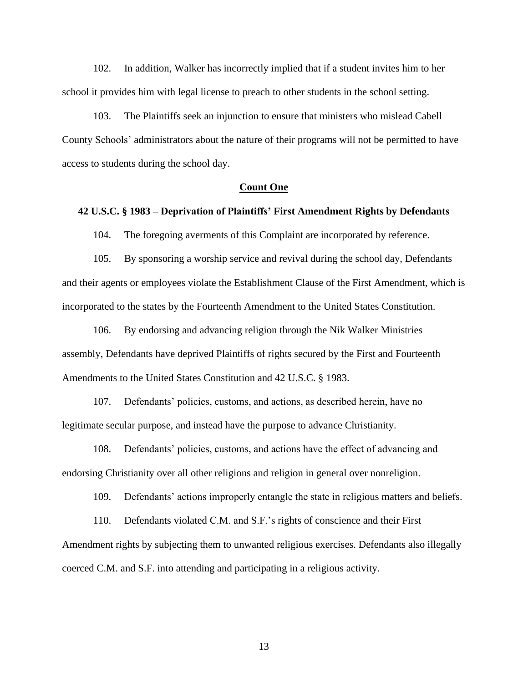102. In addition, Walker has incorrectly implied that if a student invites him to her school it provides him with legal license to preach to other students in the school setting.

103. The Plaintiffs seek an injunction to ensure that ministers who mislead Cabell County Schools' administrators about the nature of their programs will not be permitted to have access to students during the school day.

### **Count One**

### **42 U.S.C. § 1983 – Deprivation of Plaintiffs' First Amendment Rights by Defendants**

104. The foregoing averments of this Complaint are incorporated by reference.

105. By sponsoring a worship service and revival during the school day, Defendants and their agents or employees violate the Establishment Clause of the First Amendment, which is incorporated to the states by the Fourteenth Amendment to the United States Constitution.

106. By endorsing and advancing religion through the Nik Walker Ministries assembly, Defendants have deprived Plaintiffs of rights secured by the First and Fourteenth Amendments to the United States Constitution and 42 U.S.C. § 1983.

107. Defendants' policies, customs, and actions, as described herein, have no legitimate secular purpose, and instead have the purpose to advance Christianity.

108. Defendants' policies, customs, and actions have the effect of advancing and endorsing Christianity over all other religions and religion in general over nonreligion.

109. Defendants' actions improperly entangle the state in religious matters and beliefs.

110. Defendants violated C.M. and S.F.'s rights of conscience and their First Amendment rights by subjecting them to unwanted religious exercises. Defendants also illegally coerced C.M. and S.F. into attending and participating in a religious activity.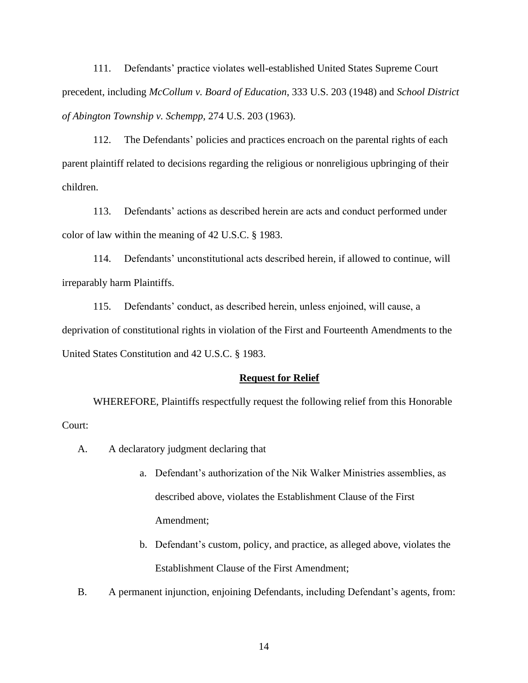111. Defendants' practice violates well-established United States Supreme Court precedent, including *McCollum v. Board of Education*, 333 U.S. 203 (1948) and *School District of Abington Township v. Schempp,* 274 U.S. 203 (1963).

112. The Defendants' policies and practices encroach on the parental rights of each parent plaintiff related to decisions regarding the religious or nonreligious upbringing of their children.

113. Defendants' actions as described herein are acts and conduct performed under color of law within the meaning of 42 U.S.C. § 1983.

114. Defendants' unconstitutional acts described herein, if allowed to continue, will irreparably harm Plaintiffs.

115. Defendants' conduct, as described herein, unless enjoined, will cause, a deprivation of constitutional rights in violation of the First and Fourteenth Amendments to the United States Constitution and 42 U.S.C. § 1983.

#### **Request for Relief**

WHEREFORE, Plaintiffs respectfully request the following relief from this Honorable Court:

- A. A declaratory judgment declaring that
	- a. Defendant's authorization of the Nik Walker Ministries assemblies, as described above, violates the Establishment Clause of the First Amendment;
	- b. Defendant's custom, policy, and practice, as alleged above, violates the Establishment Clause of the First Amendment;
- B. A permanent injunction, enjoining Defendants, including Defendant's agents, from: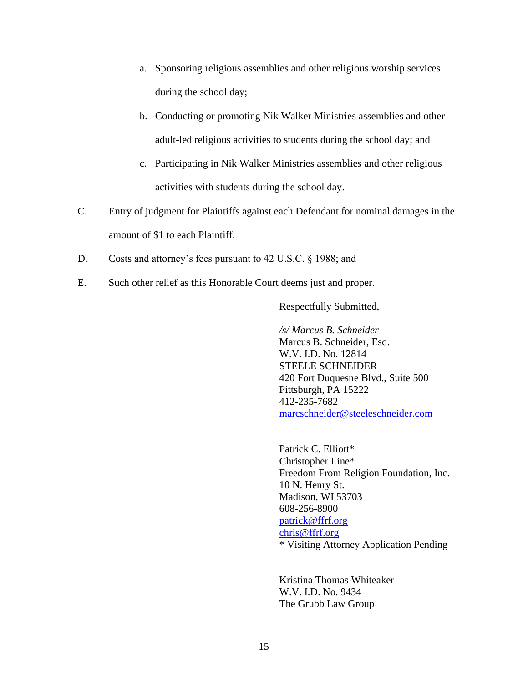- a. Sponsoring religious assemblies and other religious worship services during the school day;
- b. Conducting or promoting Nik Walker Ministries assemblies and other adult-led religious activities to students during the school day; and
- c. Participating in Nik Walker Ministries assemblies and other religious activities with students during the school day.
- C. Entry of judgment for Plaintiffs against each Defendant for nominal damages in the amount of \$1 to each Plaintiff.
- D. Costs and attorney's fees pursuant to 42 U.S.C. § 1988; and
- E. Such other relief as this Honorable Court deems just and proper.

Respectfully Submitted,

*/s/ Marcus B. Schneider*

Marcus B. Schneider, Esq. W.V. I.D. No. 12814 STEELE SCHNEIDER 420 Fort Duquesne Blvd., Suite 500 Pittsburgh, PA 15222 412-235-7682 [marcschneider@steeleschneider.com](mailto:marcschneider@steeleschneider.com)

Patrick C. Elliott\* Christopher Line\* Freedom From Religion Foundation, Inc. 10 N. Henry St. Madison, WI 53703 608-256-8900 [patrick@ffrf.org](mailto:patrick@ffrf.org) [chris@ffrf.org](mailto:chris@ffrf.org) \* Visiting Attorney Application Pending

Kristina Thomas Whiteaker W.V. I.D. No. 9434 The Grubb Law Group